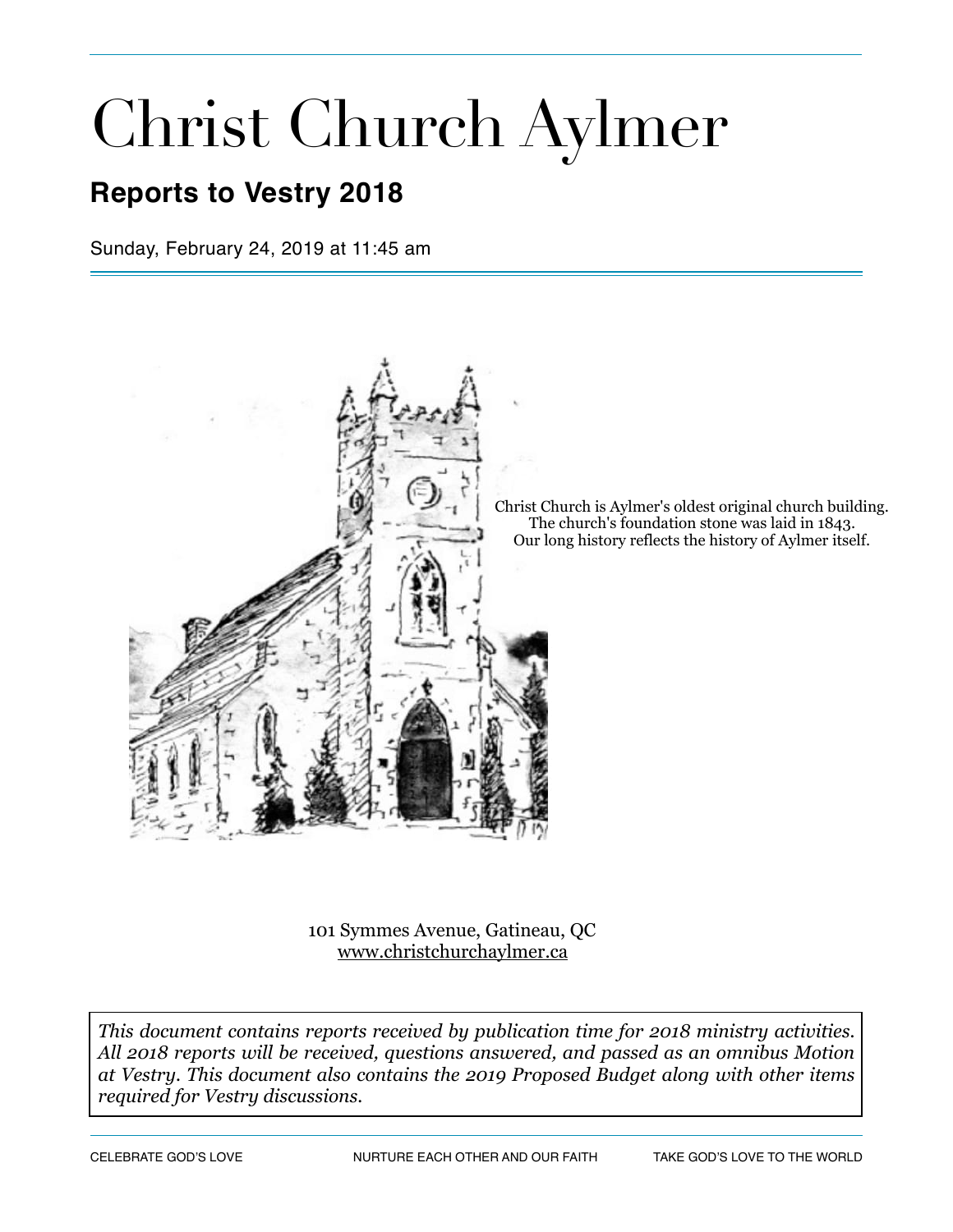# Christ Church Aylmer

# **Reports to Vestry 2018**

Sunday, February 24, 2019 at 11:45 am



Christ Church is Aylmer's oldest original church building. The church's foundation stone was laid in 1843. Our long history reflects the history of Aylmer itself.

101 Symmes Avenue, Gatineau, QC [www.christchurchaylmer.ca](http://www.christchurchaylmer.ca)

*This document contains reports received by publication time for 2018 ministry activities. All 2018 reports will be received, questions answered, and passed as an omnibus Motion at Vestry. This document also contains the 2019 Proposed Budget along with other items required for Vestry discussions.*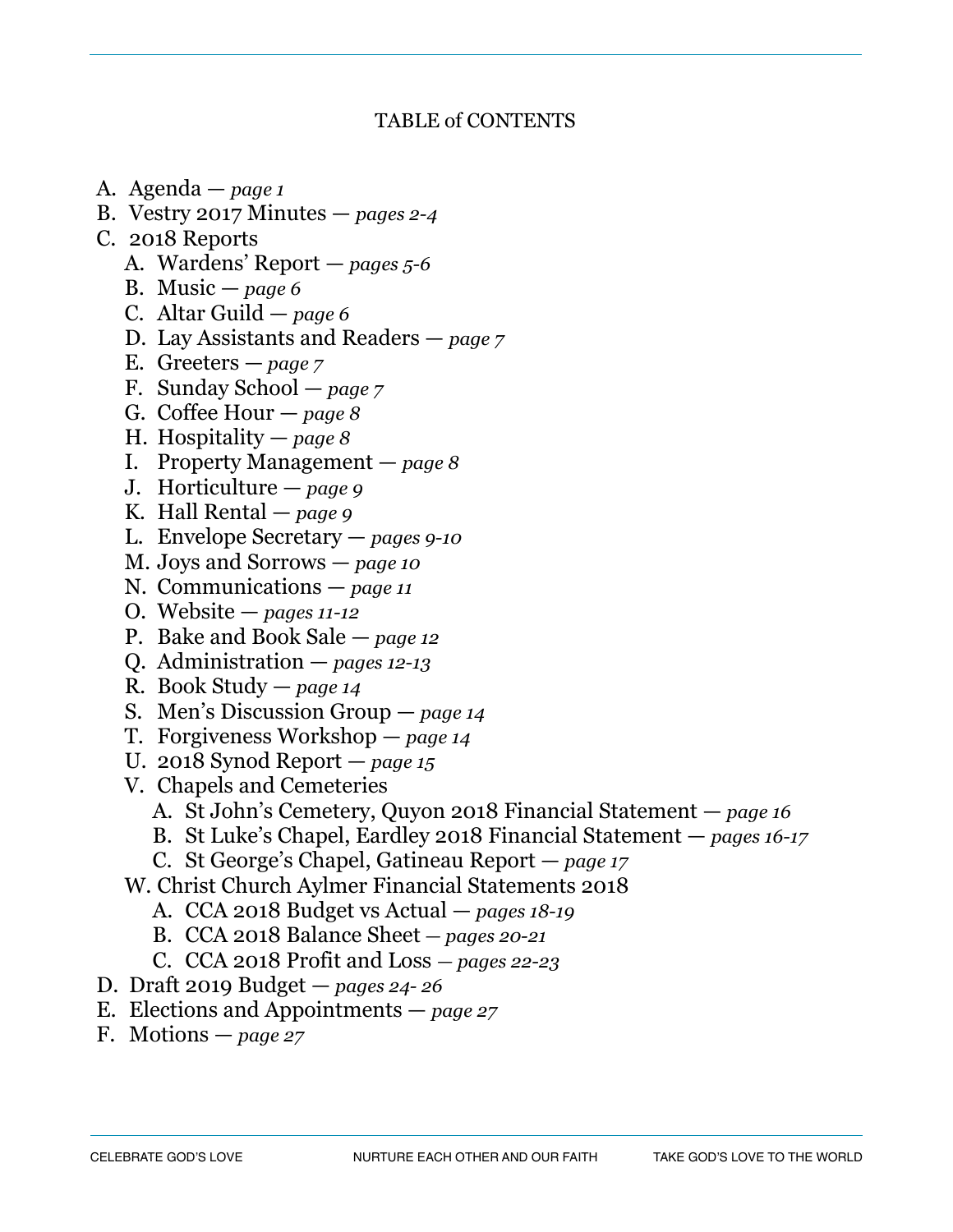## TABLE of CONTENTS

- A. Agenda *page 1*
- B. Vestry 2017 Minutes *pages 2-4*
- C. 2018 Reports
	- A. Wardens' Report *pages 5-6*
	- B. Music *page 6*
	- C. Altar Guild *page 6*
	- D. Lay Assistants and Readers *page 7*
	- E. Greeters *page 7*
	- F. Sunday School *page 7*
	- G. Coffee Hour *page 8*
	- H. Hospitality *page 8*
	- I. Property Management *page 8*
	- J. Horticulture *page 9*
	- K. Hall Rental *page 9*
	- L. Envelope Secretary *pages 9-10*
	- M. Joys and Sorrows *page 10*
	- N. Communications *page 11*
	- O. Website *pages 11-12*
	- P. Bake and Book Sale *page 12*
	- Q. Administration *pages 12-13*
	- R. Book Study *page 14*
	- S. Men's Discussion Group *page 14*
	- T. Forgiveness Workshop *page 14*
	- U. 2018 Synod Report *page 15*
	- V. Chapels and Cemeteries
		- A. St John's Cemetery, Quyon 2018 Financial Statement *page 16*
		- B. St Luke's Chapel, Eardley 2018 Financial Statement *pages 16-17*
		- C. St George's Chapel, Gatineau Report *page 17*
	- W. Christ Church Aylmer Financial Statements 2018
		- A. CCA 2018 Budget vs Actual *pages 18-19*
		- B. CCA 2018 Balance Sheet *pages 20-21*
		- C. CCA 2018 Profit and Loss  *pages 22-23*
- D. Draft 2019 Budget *pages 24- 26*
- E. Elections and Appointments *page 27*
- F. Motions *page 27*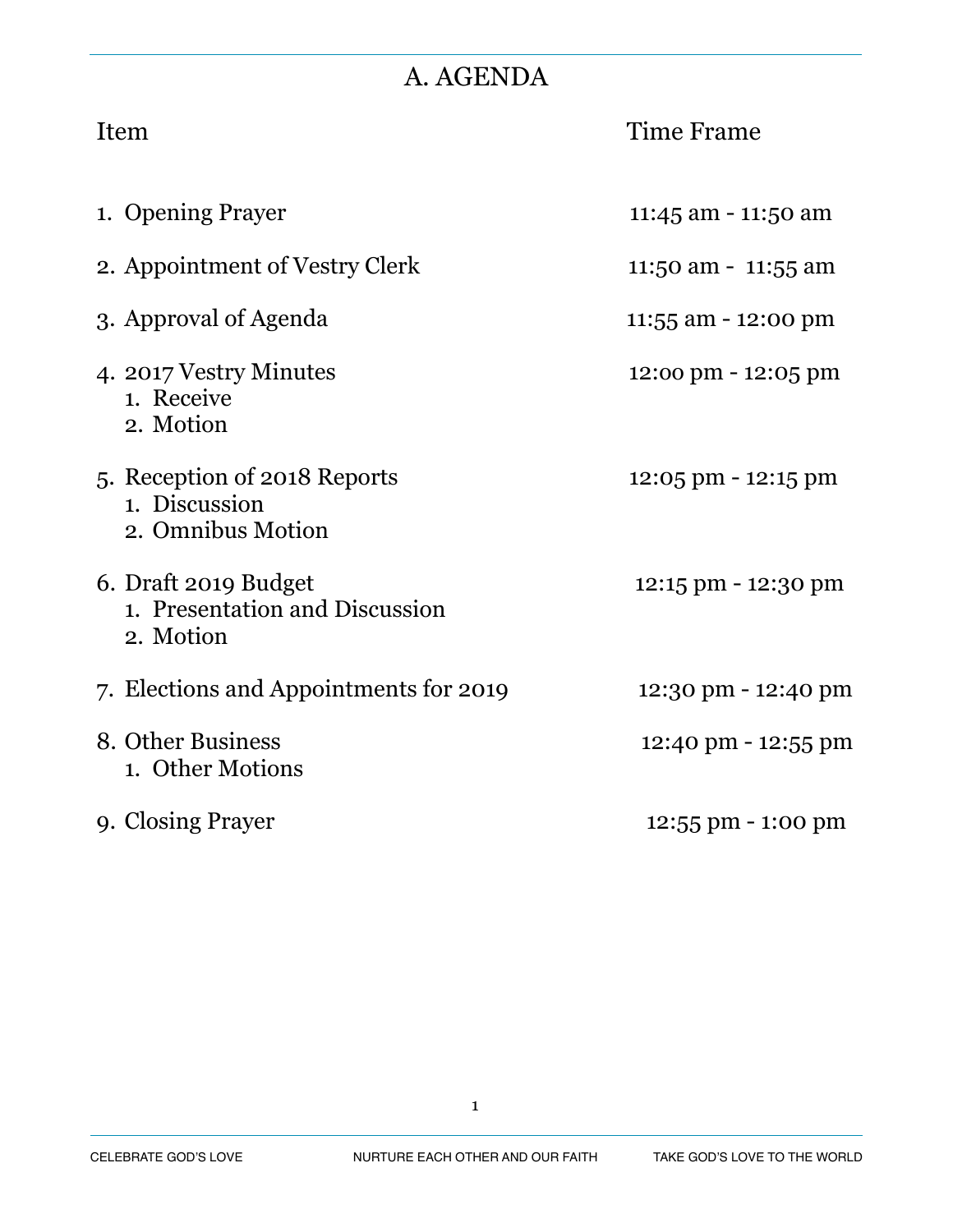# A. AGENDA

| Item                                                                | Time Frame                           |
|---------------------------------------------------------------------|--------------------------------------|
| 1. Opening Prayer                                                   | 11:45 am - 11:50 am                  |
| 2. Appointment of Vestry Clerk                                      | 11:50 am - 11:55 am                  |
| 3. Approval of Agenda                                               | 11:55 am - 12:00 pm                  |
| 4. 2017 Vestry Minutes<br>1. Receive<br>2. Motion                   | 12:00 pm - 12:05 pm                  |
| 5. Reception of 2018 Reports<br>1. Discussion<br>2. Omnibus Motion  | 12:05 pm - 12:15 pm                  |
| 6. Draft 2019 Budget<br>1. Presentation and Discussion<br>2. Motion | 12:15 pm - 12:30 pm                  |
| 7. Elections and Appointments for 2019                              | 12:30 pm - 12:40 pm                  |
| 8. Other Business<br>1. Other Motions                               | 12:40 pm - 12:55 pm                  |
| 9. Closing Prayer                                                   | $12:55 \text{ pm} - 1:00 \text{ pm}$ |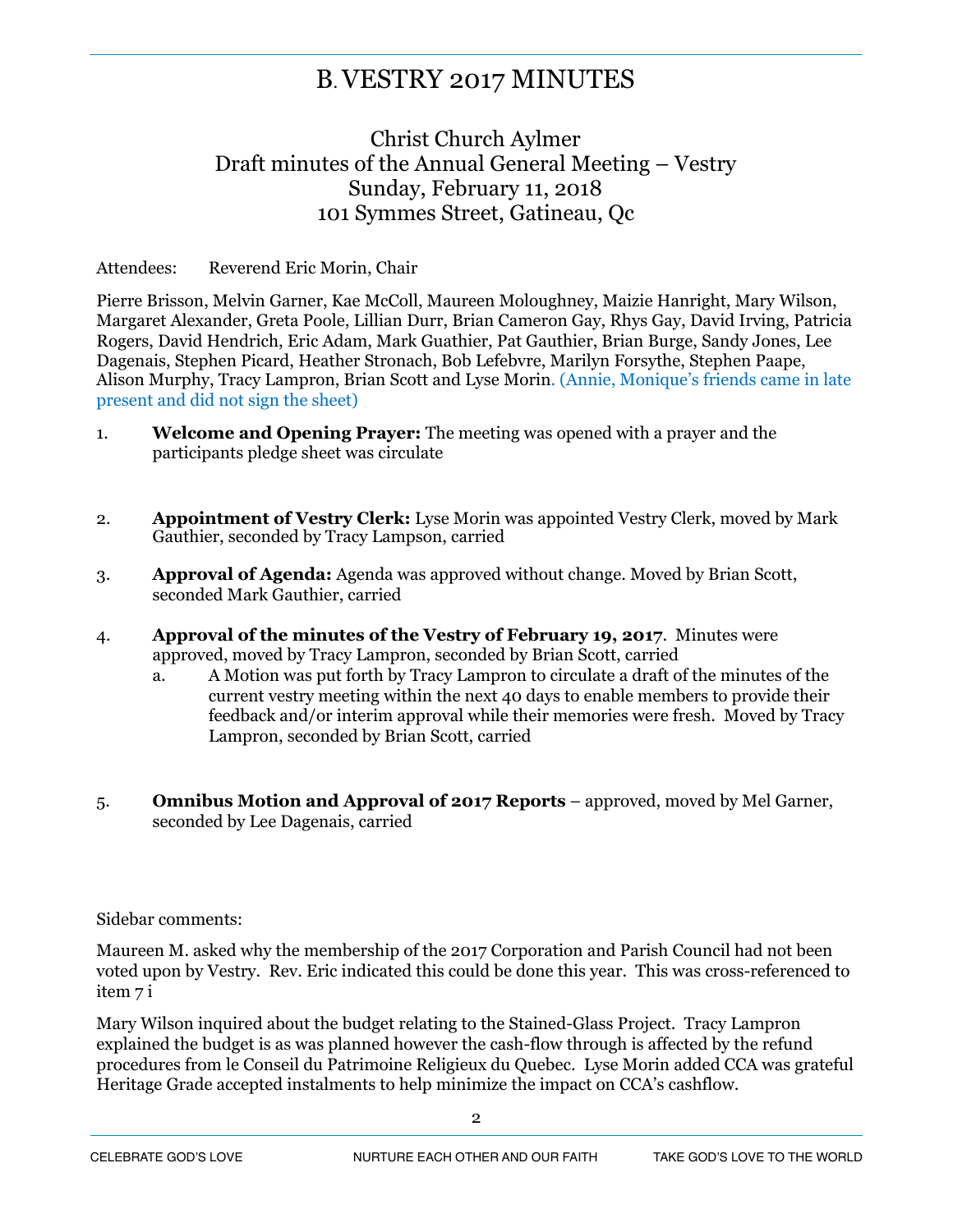# B. VESTRY 2017 MINUTES

## Christ Church Aylmer Draft minutes of the Annual General Meeting – Vestry Sunday, February 11, 2018 101 Symmes Street, Gatineau, Qc

#### Attendees: Reverend Eric Morin, Chair

Pierre Brisson, Melvin Garner, Kae McColl, Maureen Moloughney, Maizie Hanright, Mary Wilson, Margaret Alexander, Greta Poole, Lillian Durr, Brian Cameron Gay, Rhys Gay, David Irving, Patricia Rogers, David Hendrich, Eric Adam, Mark Guathier, Pat Gauthier, Brian Burge, Sandy Jones, Lee Dagenais, Stephen Picard, Heather Stronach, Bob Lefebvre, Marilyn Forsythe, Stephen Paape, Alison Murphy, Tracy Lampron, Brian Scott and Lyse Morin. (Annie, Monique's friends came in late present and did not sign the sheet)

- 1. **Welcome and Opening Prayer:** The meeting was opened with a prayer and the participants pledge sheet was circulate
- 2. **Appointment of Vestry Clerk:** Lyse Morin was appointed Vestry Clerk, moved by Mark Gauthier, seconded by Tracy Lampson, carried
- 3. **Approval of Agenda:** Agenda was approved without change. Moved by Brian Scott, seconded Mark Gauthier, carried
- 4. **Approval of the minutes of the Vestry of February 19, 2017**. Minutes were approved, moved by Tracy Lampron, seconded by Brian Scott, carried
	- a. A Motion was put forth by Tracy Lampron to circulate a draft of the minutes of the current vestry meeting within the next 40 days to enable members to provide their feedback and/or interim approval while their memories were fresh. Moved by Tracy Lampron, seconded by Brian Scott, carried
- 5. **Omnibus Motion and Approval of 2017 Reports** approved, moved by Mel Garner, seconded by Lee Dagenais, carried

Sidebar comments:

Maureen M. asked why the membership of the 2017 Corporation and Parish Council had not been voted upon by Vestry. Rev. Eric indicated this could be done this year. This was cross-referenced to item 7 i

Mary Wilson inquired about the budget relating to the Stained-Glass Project. Tracy Lampron explained the budget is as was planned however the cash-flow through is affected by the refund procedures from le Conseil du Patrimoine Religieux du Quebec. Lyse Morin added CCA was grateful Heritage Grade accepted instalments to help minimize the impact on CCA's cashflow.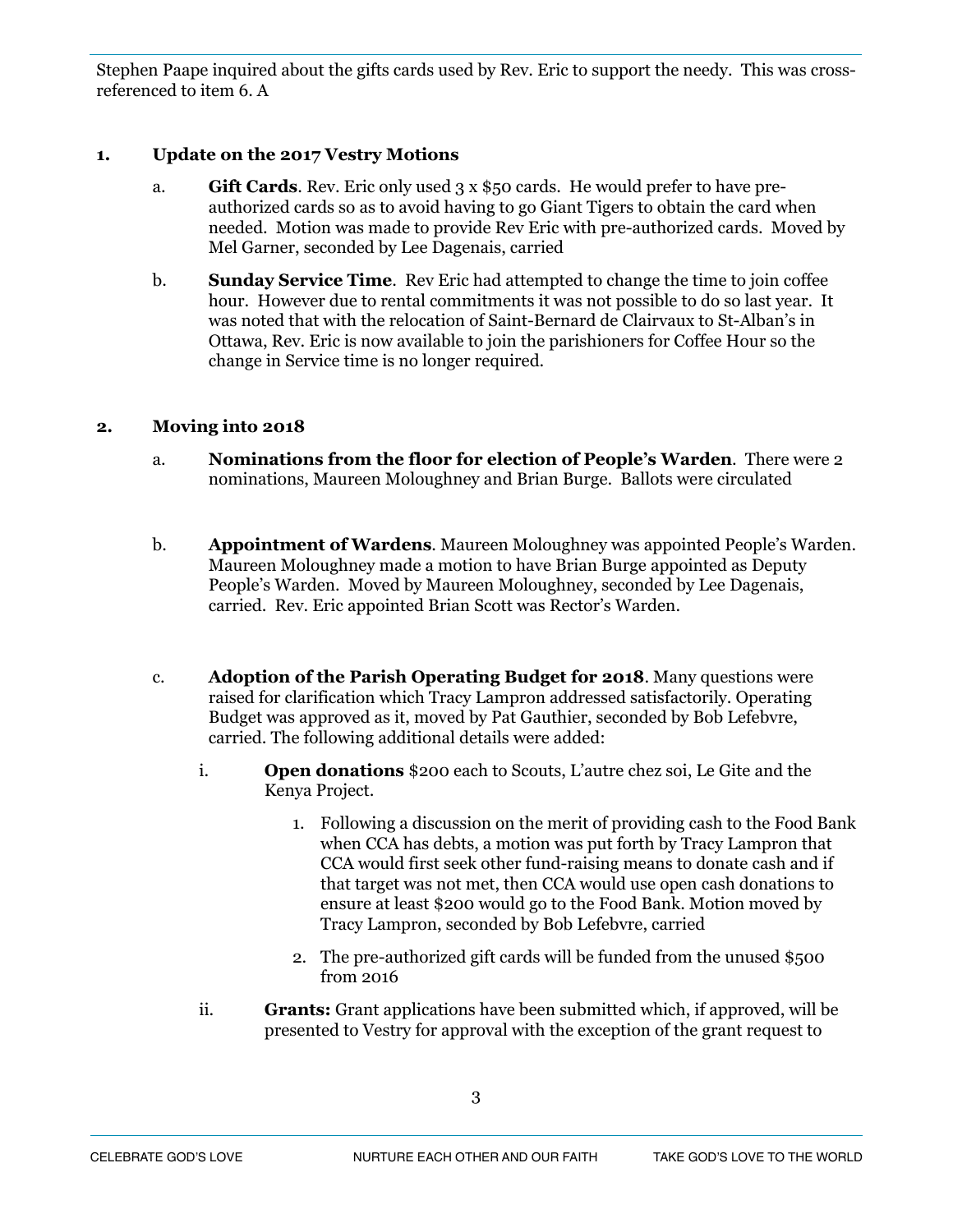Stephen Paape inquired about the gifts cards used by Rev. Eric to support the needy. This was crossreferenced to item 6. A

#### **1. Update on the 2017 Vestry Motions**

- a. **Gift Cards**. Rev. Eric only used 3 x \$50 cards. He would prefer to have preauthorized cards so as to avoid having to go Giant Tigers to obtain the card when needed. Motion was made to provide Rev Eric with pre-authorized cards. Moved by Mel Garner, seconded by Lee Dagenais, carried
- b. **Sunday Service Time**. Rev Eric had attempted to change the time to join coffee hour. However due to rental commitments it was not possible to do so last year. It was noted that with the relocation of Saint-Bernard de Clairvaux to St-Alban's in Ottawa, Rev. Eric is now available to join the parishioners for Coffee Hour so the change in Service time is no longer required.

#### **2. Moving into 2018**

- a. **Nominations from the floor for election of People's Warden**. There were 2 nominations, Maureen Moloughney and Brian Burge. Ballots were circulated
- b. **Appointment of Wardens**. Maureen Moloughney was appointed People's Warden. Maureen Moloughney made a motion to have Brian Burge appointed as Deputy People's Warden. Moved by Maureen Moloughney, seconded by Lee Dagenais, carried. Rev. Eric appointed Brian Scott was Rector's Warden.
- c. **Adoption of the Parish Operating Budget for 2018**. Many questions were raised for clarification which Tracy Lampron addressed satisfactorily. Operating Budget was approved as it, moved by Pat Gauthier, seconded by Bob Lefebvre, carried. The following additional details were added:
	- i. **Open donations** \$200 each to Scouts, L'autre chez soi, Le Gite and the Kenya Project.
		- 1. Following a discussion on the merit of providing cash to the Food Bank when CCA has debts, a motion was put forth by Tracy Lampron that CCA would first seek other fund-raising means to donate cash and if that target was not met, then CCA would use open cash donations to ensure at least \$200 would go to the Food Bank. Motion moved by Tracy Lampron, seconded by Bob Lefebvre, carried
		- 2. The pre-authorized gift cards will be funded from the unused \$500 from 2016
	- ii. **Grants:** Grant applications have been submitted which, if approved, will be presented to Vestry for approval with the exception of the grant request to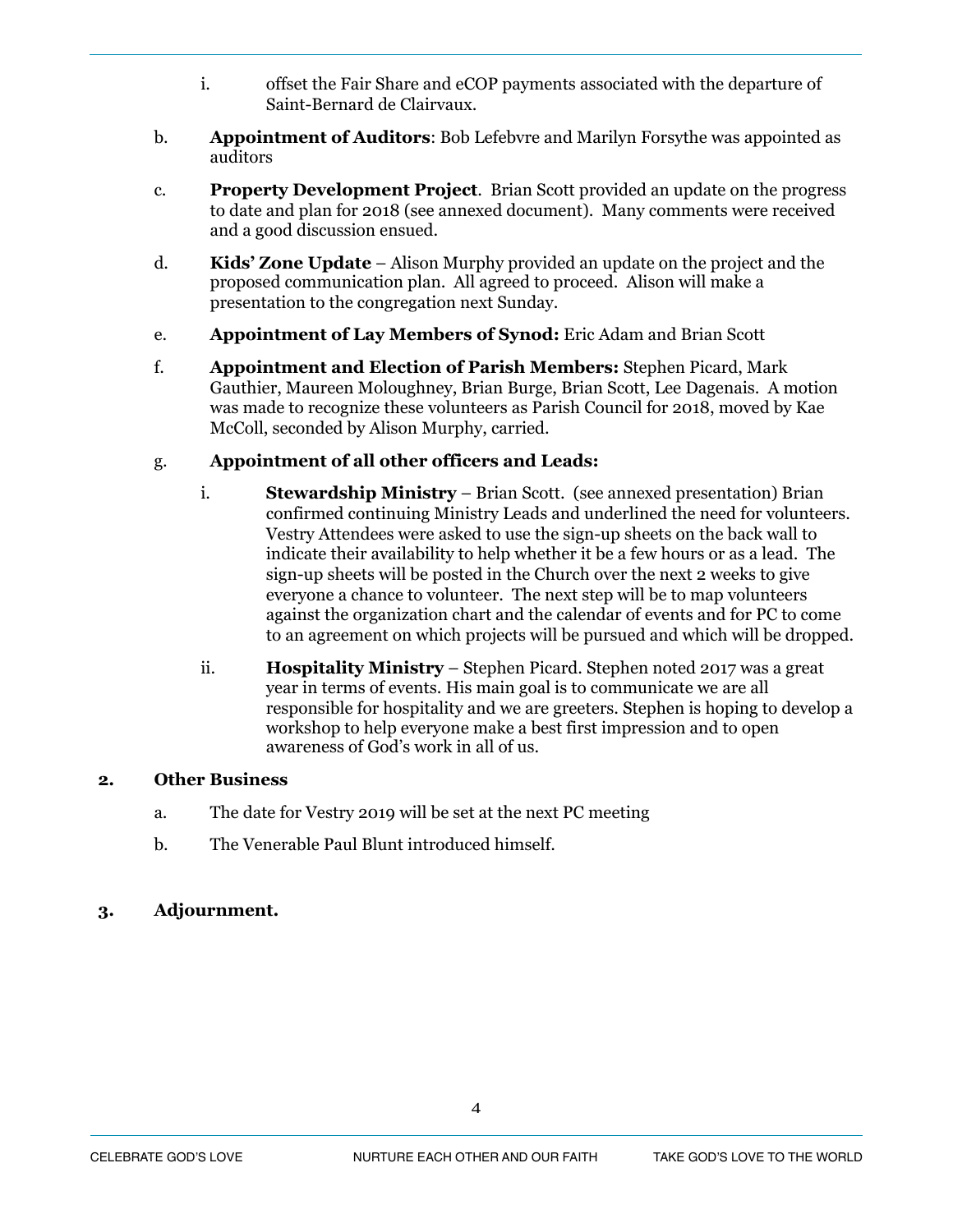- i. offset the Fair Share and eCOP payments associated with the departure of Saint-Bernard de Clairvaux.
- b. **Appointment of Auditors**: Bob Lefebvre and Marilyn Forsythe was appointed as auditors
- c. **Property Development Project**. Brian Scott provided an update on the progress to date and plan for 2018 (see annexed document). Many comments were received and a good discussion ensued.
- d. **Kids' Zone Update** Alison Murphy provided an update on the project and the proposed communication plan. All agreed to proceed. Alison will make a presentation to the congregation next Sunday.
- e. **Appointment of Lay Members of Synod:** Eric Adam and Brian Scott
- f. **Appointment and Election of Parish Members:** Stephen Picard, Mark Gauthier, Maureen Moloughney, Brian Burge, Brian Scott, Lee Dagenais. A motion was made to recognize these volunteers as Parish Council for 2018, moved by Kae McColl, seconded by Alison Murphy, carried.

#### g. **Appointment of all other officers and Leads:**

- i. **Stewardship Ministry** Brian Scott. (see annexed presentation) Brian confirmed continuing Ministry Leads and underlined the need for volunteers. Vestry Attendees were asked to use the sign-up sheets on the back wall to indicate their availability to help whether it be a few hours or as a lead. The sign-up sheets will be posted in the Church over the next 2 weeks to give everyone a chance to volunteer. The next step will be to map volunteers against the organization chart and the calendar of events and for PC to come to an agreement on which projects will be pursued and which will be dropped.
- ii. **Hospitality Ministry** Stephen Picard. Stephen noted 2017 was a great year in terms of events. His main goal is to communicate we are all responsible for hospitality and we are greeters. Stephen is hoping to develop a workshop to help everyone make a best first impression and to open awareness of God's work in all of us.

#### **2. Other Business**

- a. The date for Vestry 2019 will be set at the next PC meeting
- b. The Venerable Paul Blunt introduced himself.

#### **3. Adjournment.**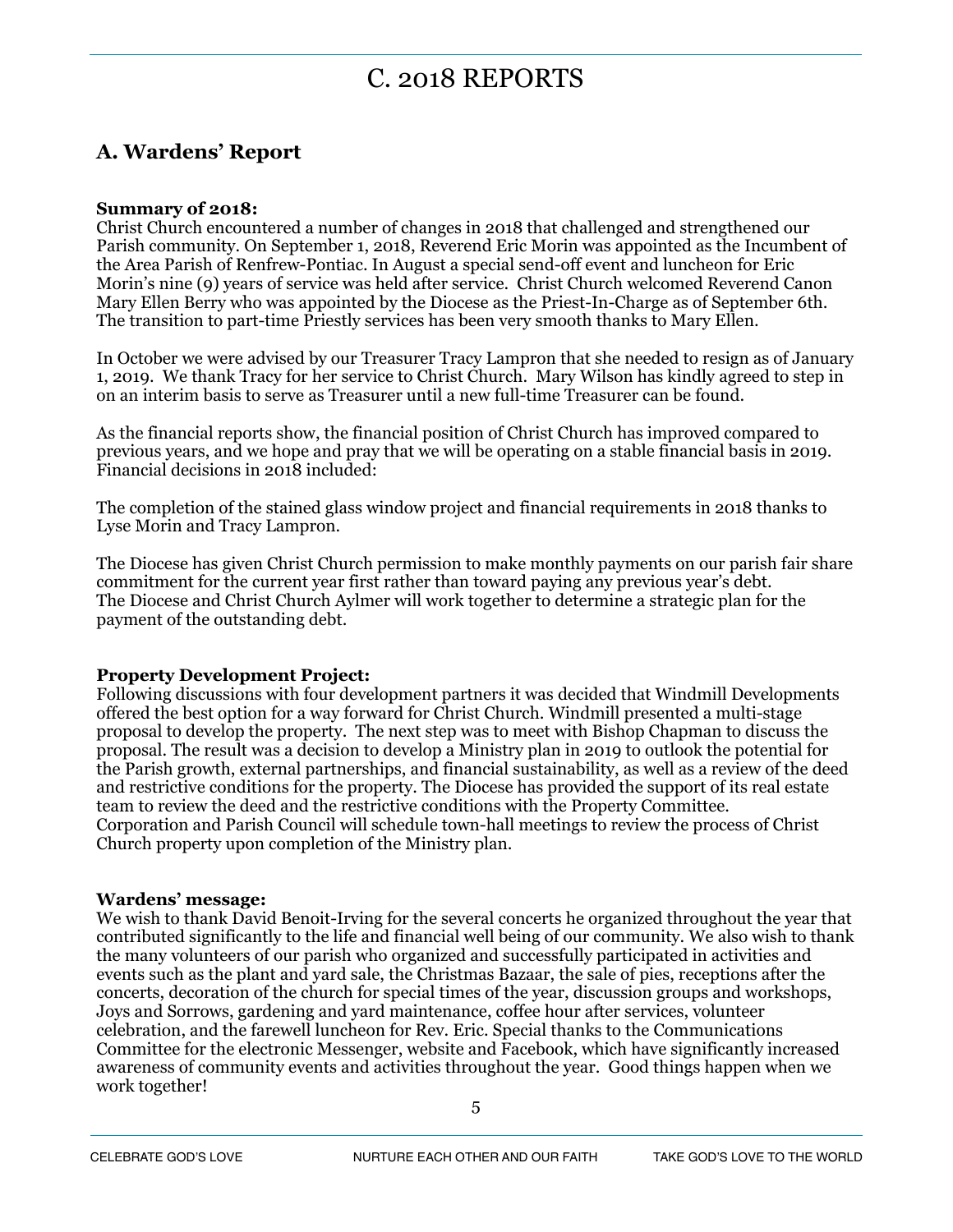# C. 2018 REPORTS

## **A. Wardens' Report**

#### **Summary of 2018:**

Christ Church encountered a number of changes in 2018 that challenged and strengthened our Parish community. On September 1, 2018, Reverend Eric Morin was appointed as the Incumbent of the Area Parish of Renfrew-Pontiac. In August a special send-off event and luncheon for Eric Morin's nine (9) years of service was held after service. Christ Church welcomed Reverend Canon Mary Ellen Berry who was appointed by the Diocese as the Priest-In-Charge as of September 6th. The transition to part-time Priestly services has been very smooth thanks to Mary Ellen.

In October we were advised by our Treasurer Tracy Lampron that she needed to resign as of January 1, 2019. We thank Tracy for her service to Christ Church. Mary Wilson has kindly agreed to step in on an interim basis to serve as Treasurer until a new full-time Treasurer can be found.

As the financial reports show, the financial position of Christ Church has improved compared to previous years, and we hope and pray that we will be operating on a stable financial basis in 2019. Financial decisions in 2018 included:

The completion of the stained glass window project and financial requirements in 2018 thanks to Lyse Morin and Tracy Lampron.

The Diocese has given Christ Church permission to make monthly payments on our parish fair share commitment for the current year first rather than toward paying any previous year's debt. The Diocese and Christ Church Aylmer will work together to determine a strategic plan for the payment of the outstanding debt.

#### **Property Development Project:**

Following discussions with four development partners it was decided that Windmill Developments offered the best option for a way forward for Christ Church. Windmill presented a multi-stage proposal to develop the property. The next step was to meet with Bishop Chapman to discuss the proposal. The result was a decision to develop a Ministry plan in 2019 to outlook the potential for the Parish growth, external partnerships, and financial sustainability, as well as a review of the deed and restrictive conditions for the property. The Diocese has provided the support of its real estate team to review the deed and the restrictive conditions with the Property Committee. Corporation and Parish Council will schedule town-hall meetings to review the process of Christ Church property upon completion of the Ministry plan.

#### **Wardens' message:**

We wish to thank David Benoit-Irving for the several concerts he organized throughout the year that contributed significantly to the life and financial well being of our community. We also wish to thank the many volunteers of our parish who organized and successfully participated in activities and events such as the plant and yard sale, the Christmas Bazaar, the sale of pies, receptions after the concerts, decoration of the church for special times of the year, discussion groups and workshops, Joys and Sorrows, gardening and yard maintenance, coffee hour after services, volunteer celebration, and the farewell luncheon for Rev. Eric. Special thanks to the Communications Committee for the electronic Messenger, website and Facebook, which have significantly increased awareness of community events and activities throughout the year. Good things happen when we work together!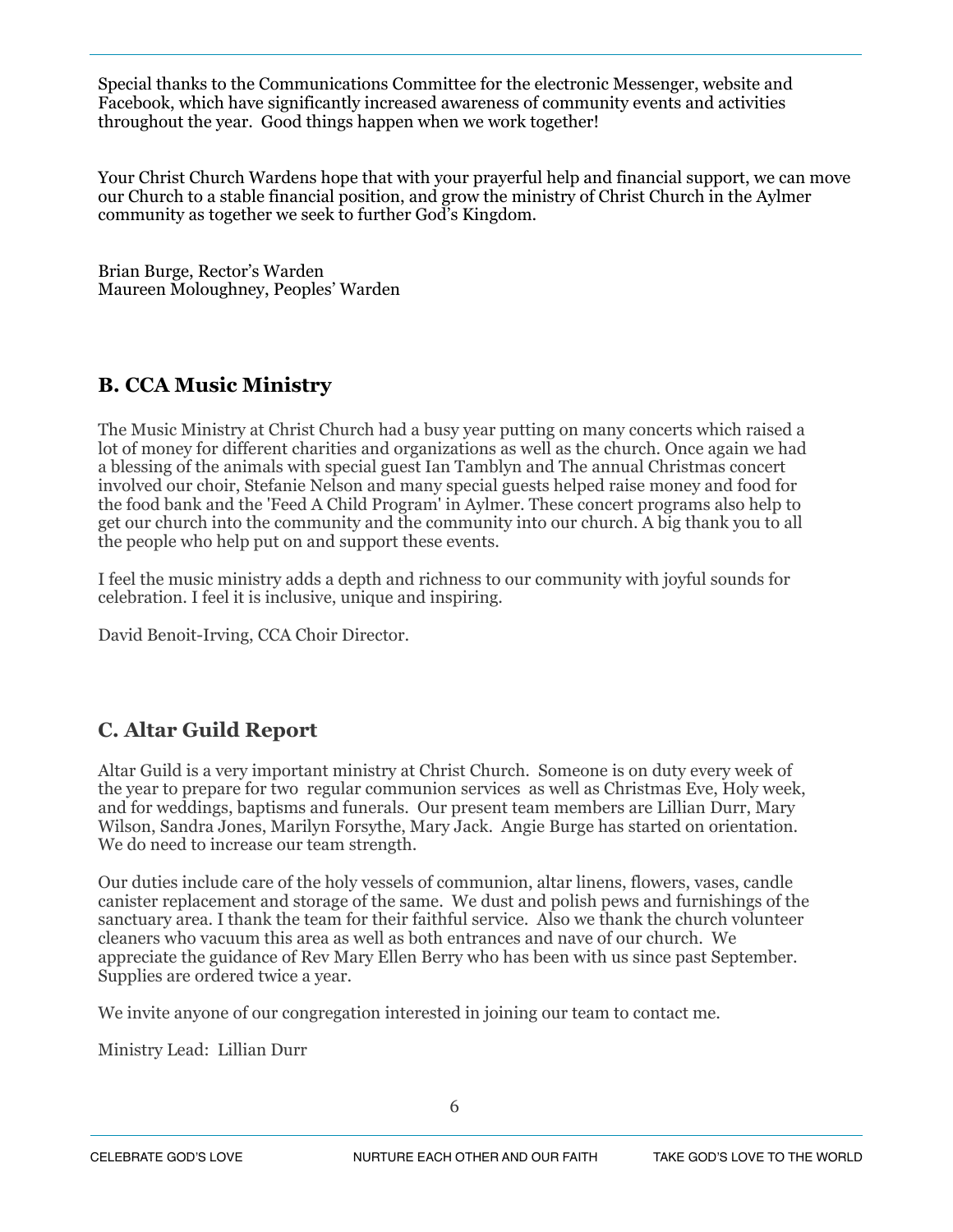Special thanks to the Communications Committee for the electronic Messenger, website and Facebook, which have significantly increased awareness of community events and activities throughout the year. Good things happen when we work together!

Your Christ Church Wardens hope that with your prayerful help and financial support, we can move our Church to a stable financial position, and grow the ministry of Christ Church in the Aylmer community as together we seek to further God's Kingdom.

Brian Burge, Rector's Warden Maureen Moloughney, Peoples' Warden

## **B. CCA Music Ministry**

The Music Ministry at Christ Church had a busy year putting on many concerts which raised a lot of money for different charities and organizations as well as the church. Once again we had a blessing of the animals with special guest Ian Tamblyn and The annual Christmas concert involved our choir, Stefanie Nelson and many special guests helped raise money and food for the food bank and the 'Feed A Child Program' in Aylmer. These concert programs also help to get our church into the community and the community into our church. A big thank you to all the people who help put on and support these events.

I feel the music ministry adds a depth and richness to our community with joyful sounds for celebration. I feel it is inclusive, unique and inspiring.

David Benoit-Irving, CCA Choir Director.

## **C. Altar Guild Report**

Altar Guild is a very important ministry at Christ Church. Someone is on duty every week of the year to prepare for two regular communion services as well as Christmas Eve, Holy week, and for weddings, baptisms and funerals. Our present team members are Lillian Durr, Mary Wilson, Sandra Jones, Marilyn Forsythe, Mary Jack. Angie Burge has started on orientation. We do need to increase our team strength.

Our duties include care of the holy vessels of communion, altar linens, flowers, vases, candle canister replacement and storage of the same. We dust and polish pews and furnishings of the sanctuary area. I thank the team for their faithful service. Also we thank the church volunteer cleaners who vacuum this area as well as both entrances and nave of our church. We appreciate the guidance of Rev Mary Ellen Berry who has been with us since past September. Supplies are ordered twice a year.

We invite anyone of our congregation interested in joining our team to contact me.

Ministry Lead: Lillian Durr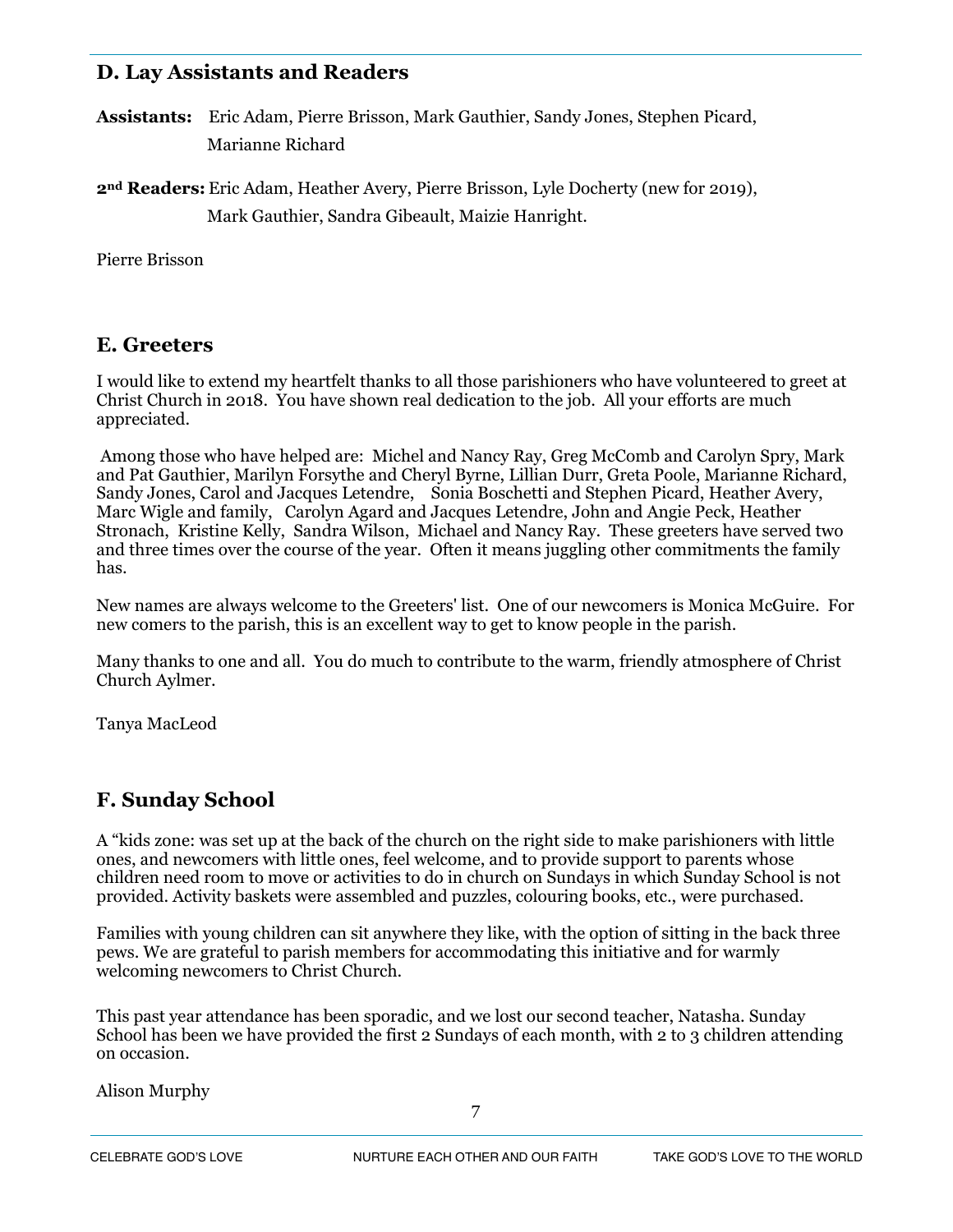## **D. Lay Assistants and Readers**

**Assistants:** Eric Adam, Pierre Brisson, Mark Gauthier, Sandy Jones, Stephen Picard, Marianne Richard

**2nd Readers:** Eric Adam, Heather Avery, Pierre Brisson, Lyle Docherty (new for 2019), Mark Gauthier, Sandra Gibeault, Maizie Hanright.

Pierre Brisson

## **E. Greeters**

I would like to extend my heartfelt thanks to all those parishioners who have volunteered to greet at Christ Church in 2018. You have shown real dedication to the job. All your efforts are much appreciated.

 Among those who have helped are: Michel and Nancy Ray, Greg McComb and Carolyn Spry, Mark and Pat Gauthier, Marilyn Forsythe and Cheryl Byrne, Lillian Durr, Greta Poole, Marianne Richard, Sandy Jones, Carol and Jacques Letendre, Sonia Boschetti and Stephen Picard, Heather Avery, Marc Wigle and family, Carolyn Agard and Jacques Letendre, John and Angie Peck, Heather Stronach, Kristine Kelly, Sandra Wilson, Michael and Nancy Ray. These greeters have served two and three times over the course of the year. Often it means juggling other commitments the family has.

New names are always welcome to the Greeters' list. One of our newcomers is Monica McGuire. For new comers to the parish, this is an excellent way to get to know people in the parish.

Many thanks to one and all. You do much to contribute to the warm, friendly atmosphere of Christ Church Aylmer.

Tanya MacLeod

## **F. Sunday School**

A "kids zone: was set up at the back of the church on the right side to make parishioners with little ones, and newcomers with little ones, feel welcome, and to provide support to parents whose children need room to move or activities to do in church on Sundays in which Sunday School is not provided. Activity baskets were assembled and puzzles, colouring books, etc., were purchased.

Families with young children can sit anywhere they like, with the option of sitting in the back three pews. We are grateful to parish members for accommodating this initiative and for warmly welcoming newcomers to Christ Church.

This past year attendance has been sporadic, and we lost our second teacher, Natasha. Sunday School has been we have provided the first 2 Sundays of each month, with 2 to 3 children attending on occasion.

Alison Murphy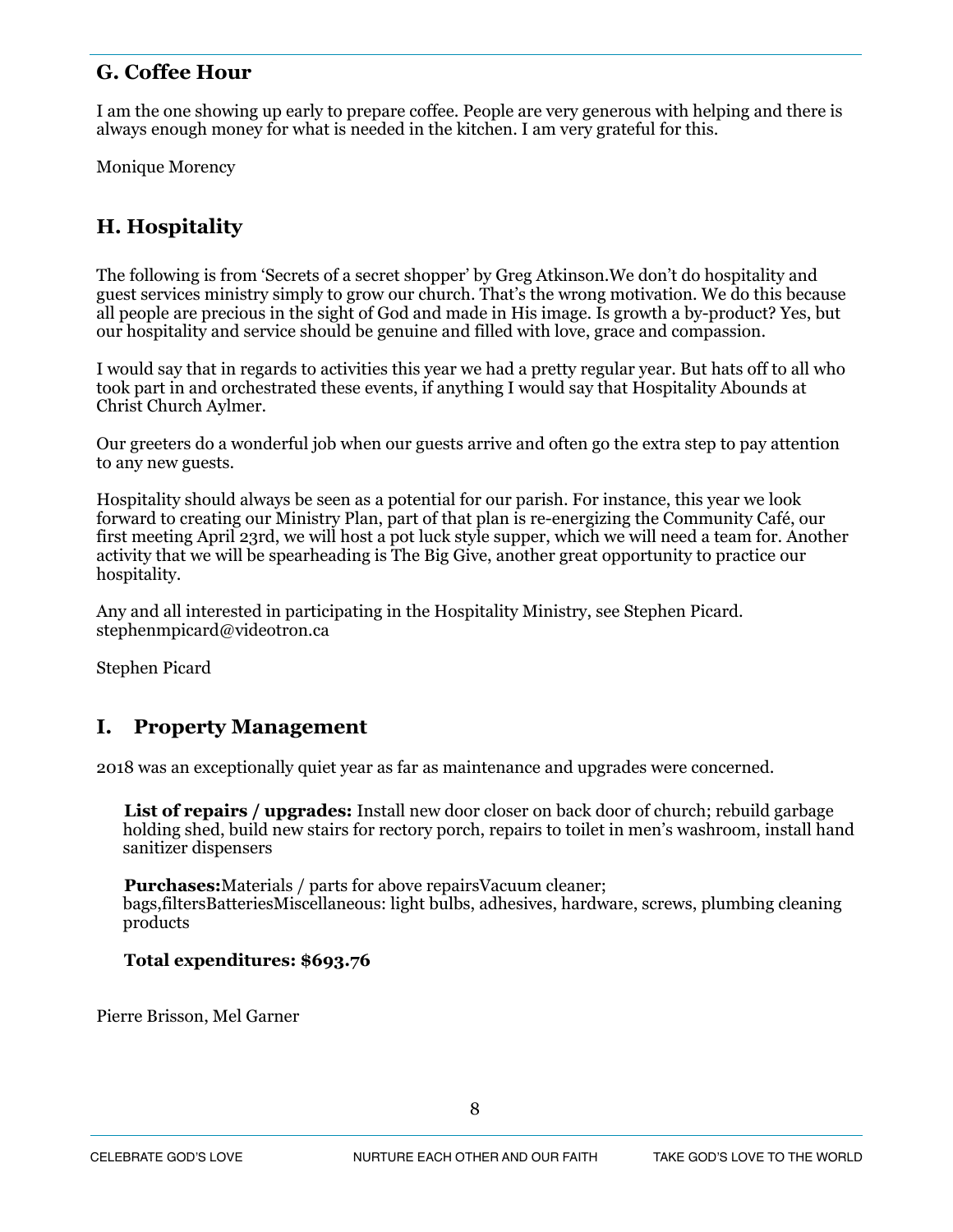## **G. Coffee Hour**

I am the one showing up early to prepare coffee. People are very generous with helping and there is always enough money for what is needed in the kitchen. I am very grateful for this.

Monique Morency

## **H. Hospitality**

The following is from 'Secrets of a secret shopper' by Greg Atkinson.We don't do hospitality and guest services ministry simply to grow our church. That's the wrong motivation. We do this because all people are precious in the sight of God and made in His image. Is growth a by-product? Yes, but our hospitality and service should be genuine and filled with love, grace and compassion.

I would say that in regards to activities this year we had a pretty regular year. But hats off to all who took part in and orchestrated these events, if anything I would say that Hospitality Abounds at Christ Church Aylmer.

Our greeters do a wonderful job when our guests arrive and often go the extra step to pay attention to any new guests.

Hospitality should always be seen as a potential for our parish. For instance, this year we look forward to creating our Ministry Plan, part of that plan is re-energizing the Community Café, our first meeting April 23rd, we will host a pot luck style supper, which we will need a team for. Another activity that we will be spearheading is The Big Give, another great opportunity to practice our hospitality.

Any and all interested in participating in the Hospitality Ministry, see Stephen Picard. stephenmpicard@videotron.ca

Stephen Picard

## **I. Property Management**

2018 was an exceptionally quiet year as far as maintenance and upgrades were concerned.

**List of repairs / upgrades:** Install new door closer on back door of church; rebuild garbage holding shed, build new stairs for rectory porch, repairs to toilet in men's washroom, install hand sanitizer dispensers

**Purchases:**Materials / parts for above repairsVacuum cleaner; bags,filtersBatteriesMiscellaneous: light bulbs, adhesives, hardware, screws, plumbing cleaning products

#### **Total expenditures: \$693.76**

Pierre Brisson, Mel Garner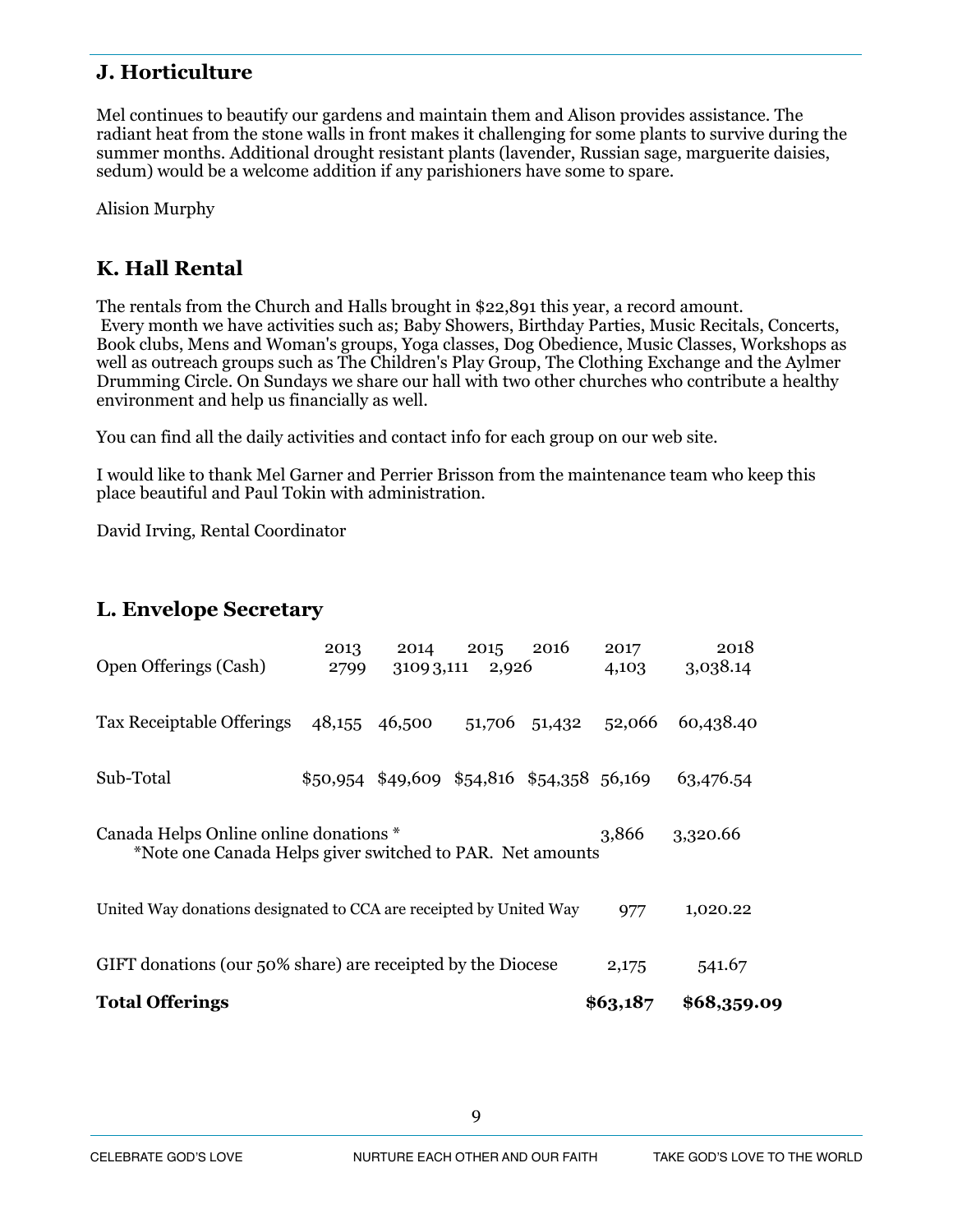## **J. Horticulture**

Mel continues to beautify our gardens and maintain them and Alison provides assistance. The radiant heat from the stone walls in front makes it challenging for some plants to survive during the summer months. Additional drought resistant plants (lavender, Russian sage, marguerite daisies, sedum) would be a welcome addition if any parishioners have some to spare.

Alision Murphy

## **K. Hall Rental**

The rentals from the Church and Halls brought in \$22,891 this year, a record amount. Every month we have activities such as; Baby Showers, Birthday Parties, Music Recitals, Concerts, Book clubs, Mens and Woman's groups, Yoga classes, Dog Obedience, Music Classes, Workshops as well as outreach groups such as The Children's Play Group, The Clothing Exchange and the Aylmer Drumming Circle. On Sundays we share our hall with two other churches who contribute a healthy environment and help us financially as well.

You can find all the daily activities and contact info for each group on our web site.

I would like to thank Mel Garner and Perrier Brisson from the maintenance team who keep this place beautiful and Paul Tokin with administration.

David Irving, Rental Coordinator

## **L. Envelope Secretary**

| <b>Total Offerings</b>                                                                                                   |              |                                             |               |               | \$63,187      | \$68,359.09      |
|--------------------------------------------------------------------------------------------------------------------------|--------------|---------------------------------------------|---------------|---------------|---------------|------------------|
| GIFT donations (our 50% share) are receipted by the Diocese                                                              |              |                                             |               |               | 2,175         | 541.67           |
| United Way donations designated to CCA are receipted by United Way                                                       |              |                                             |               |               | 977           | 1,020.22         |
| Canada Helps Online online donations *<br>3,866<br>3,320.66<br>*Note one Canada Helps giver switched to PAR. Net amounts |              |                                             |               |               |               |                  |
| Sub-Total                                                                                                                |              | $$50,954$ \$49,609 \$54,816 \$54,358 56,169 |               |               |               | 63,476.54        |
| Tax Receiptable Offerings                                                                                                |              | 48,155 46,500                               |               | 51,706 51,432 | 52,066        | 60,438.40        |
| <b>Open Offerings (Cash)</b>                                                                                             | 2013<br>2799 | 2014<br>31093,111                           | 2015<br>2,926 | 2016          | 2017<br>4,103 | 2018<br>3,038.14 |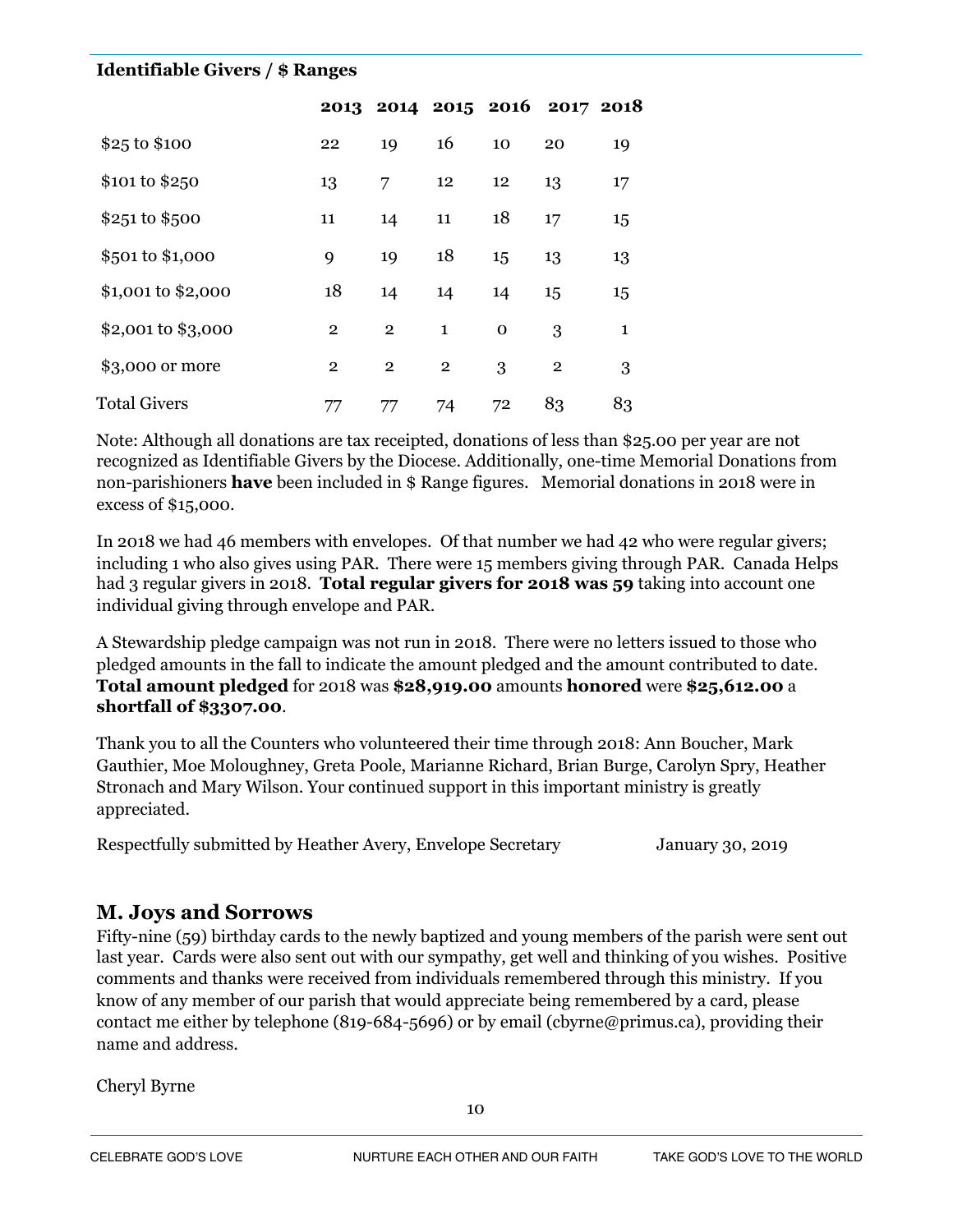#### **Identifiable Givers / \$ Ranges**

|                     |              |                |                |             | 2013 2014 2015 2016 2017 2018 |              |
|---------------------|--------------|----------------|----------------|-------------|-------------------------------|--------------|
| \$25 to \$100       | 22           | 19             | 16             | 10          | 20                            | 19           |
| \$101 to \$250      | 13           | 7              | 12             | 12          | 13                            | 17           |
| \$251 to \$500      | 11           | 14             | 11             | 18          | 17                            | 15           |
| \$501 to \$1,000    | 9            | 19             | 18             | 15          | 13                            | 13           |
| \$1,001 to \$2,000  | 18           | 14             | 14             | 14          | 15                            | 15           |
| \$2,001 to \$3,000  | $\mathbf{2}$ | $\overline{2}$ | $\mathbf{1}$   | $\mathbf 0$ | 3                             | $\mathbf{1}$ |
| \$3,000 or more     | $\mathbf{2}$ | $\overline{2}$ | $\overline{2}$ | 3           | $\overline{2}$                | 3            |
| <b>Total Givers</b> | 77           | 77             | 74             | 72          | 83                            | 83           |

Note: Although all donations are tax receipted, donations of less than \$25.00 per year are not recognized as Identifiable Givers by the Diocese. Additionally, one-time Memorial Donations from non-parishioners **have** been included in \$ Range figures. Memorial donations in 2018 were in excess of \$15,000.

In 2018 we had 46 members with envelopes. Of that number we had 42 who were regular givers; including 1 who also gives using PAR. There were 15 members giving through PAR. Canada Helps had 3 regular givers in 2018. **Total regular givers for 2018 was 59** taking into account one individual giving through envelope and PAR.

A Stewardship pledge campaign was not run in 2018. There were no letters issued to those who pledged amounts in the fall to indicate the amount pledged and the amount contributed to date. **Total amount pledged** for 2018 was **\$28,919.00** amounts **honored** were **\$25,612.00** a **shortfall of \$3307.00**.

Thank you to all the Counters who volunteered their time through 2018: Ann Boucher, Mark Gauthier, Moe Moloughney, Greta Poole, Marianne Richard, Brian Burge, Carolyn Spry, Heather Stronach and Mary Wilson. Your continued support in this important ministry is greatly appreciated.

Respectfully submitted by Heather Avery, Envelope Secretary January 30, 2019

## **M. Joys and Sorrows**

Fifty-nine (59) birthday cards to the newly baptized and young members of the parish were sent out last year. Cards were also sent out with our sympathy, get well and thinking of you wishes. Positive comments and thanks were received from individuals remembered through this ministry. If you know of any member of our parish that would appreciate being remembered by a card, please contact me either by telephone (819-684-5696) or by email (cbyrne@primus.ca), providing their name and address.

Cheryl Byrne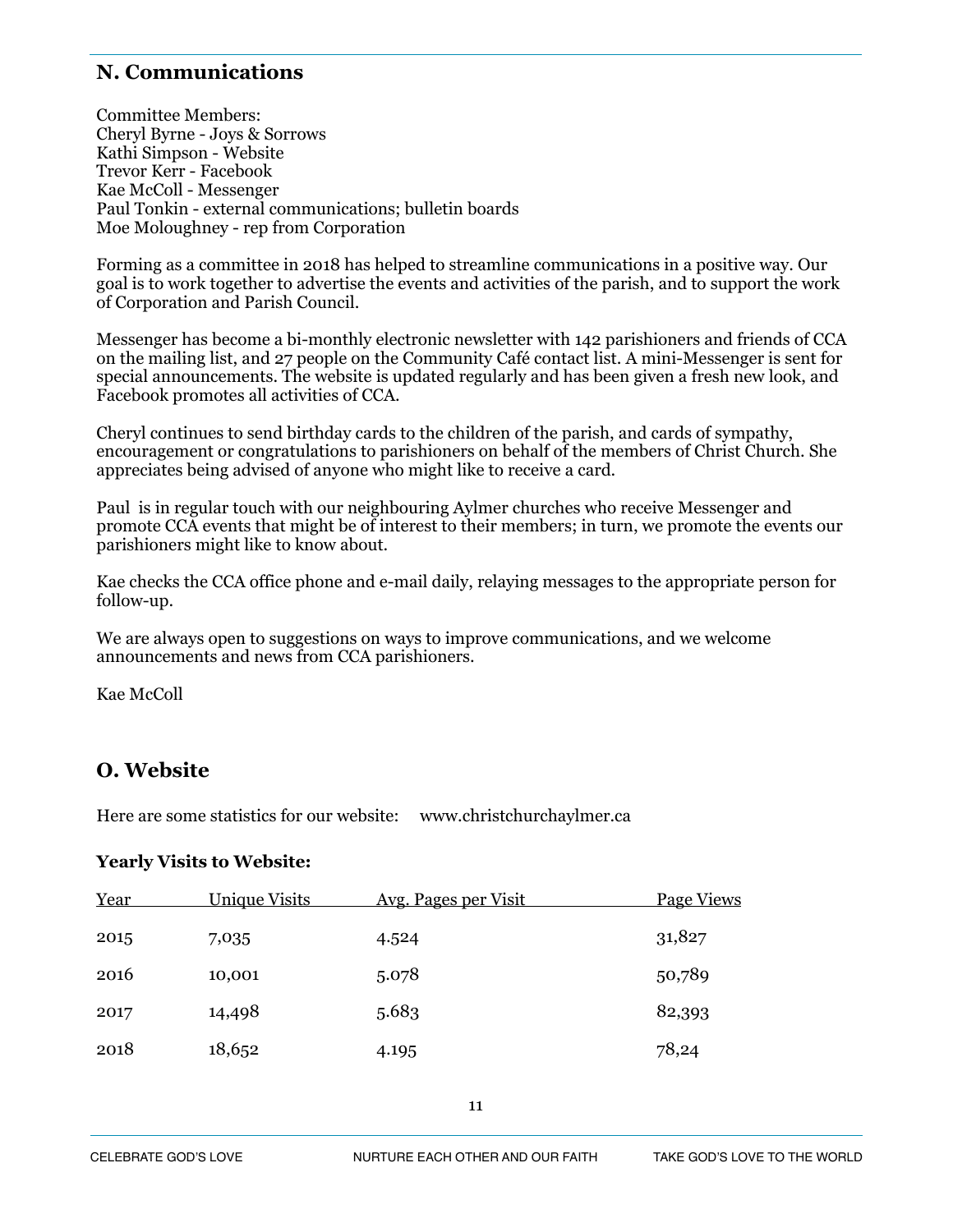## **N. Communications**

Committee Members: Cheryl Byrne - Joys & Sorrows Kathi Simpson - Website Trevor Kerr - Facebook Kae McColl - Messenger Paul Tonkin - external communications; bulletin boards Moe Moloughney - rep from Corporation

Forming as a committee in 2018 has helped to streamline communications in a positive way. Our goal is to work together to advertise the events and activities of the parish, and to support the work of Corporation and Parish Council.

Messenger has become a bi-monthly electronic newsletter with 142 parishioners and friends of CCA on the mailing list, and 27 people on the Community Café contact list. A mini-Messenger is sent for special announcements. The website is updated regularly and has been given a fresh new look, and Facebook promotes all activities of CCA.

Cheryl continues to send birthday cards to the children of the parish, and cards of sympathy, encouragement or congratulations to parishioners on behalf of the members of Christ Church. She appreciates being advised of anyone who might like to receive a card.

Paul is in regular touch with our neighbouring Aylmer churches who receive Messenger and promote CCA events that might be of interest to their members; in turn, we promote the events our parishioners might like to know about.

Kae checks the CCA office phone and e-mail daily, relaying messages to the appropriate person for follow-up.

We are always open to suggestions on ways to improve communications, and we welcome announcements and news from CCA parishioners.

Kae McColl

## **O. Website**

Here are some statistics for our website: www.christchurchaylmer.ca

#### **Yearly Visits to Website:**

| Year | <b>Unique Visits</b> | <u>Avg. Pages per Visit</u> | Page Views |
|------|----------------------|-----------------------------|------------|
| 2015 | 7,035                | 4.524                       | 31,827     |
| 2016 | 10,001               | 5.078                       | 50,789     |
| 2017 | 14,498               | 5.683                       | 82,393     |
| 2018 | 18,652               | 4.195                       | 78,24      |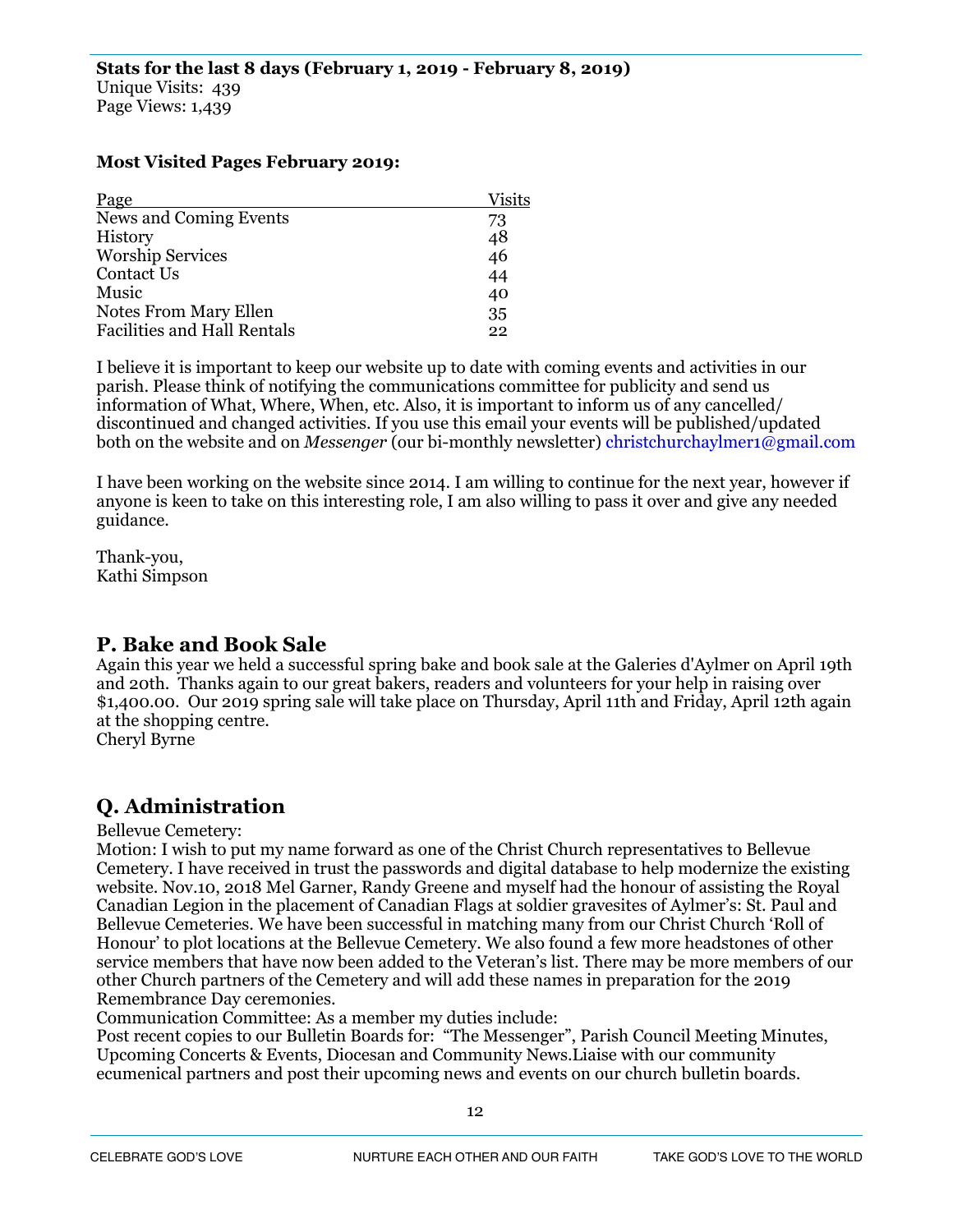#### **Most Visited Pages February 2019:**

| Page                               | <b>Visits</b> |
|------------------------------------|---------------|
| News and Coming Events             | 73            |
| History                            | 48<br>46      |
| <b>Worship Services</b>            |               |
| Contact Us                         | 44            |
| Music                              | 40            |
| Notes From Mary Ellen              | 35            |
| <b>Facilities and Hall Rentals</b> | 22            |

I believe it is important to keep our website up to date with coming events and activities in our parish. Please think of notifying the communications committee for publicity and send us information of What, Where, When, etc. Also, it is important to inform us of any cancelled/ discontinued and changed activities. If you use this email your events will be published/updated both on the website and on *Messenger* (our bi-monthly newsletter) christchurchaylmer1@gmail.com

I have been working on the website since 2014. I am willing to continue for the next year, however if anyone is keen to take on this interesting role, I am also willing to pass it over and give any needed guidance.

Thank-you, Kathi Simpson

#### **P. Bake and Book Sale**

Again this year we held a successful spring bake and book sale at the Galeries d'Aylmer on April 19th and 20th. Thanks again to our great bakers, readers and volunteers for your help in raising over \$1,400.00. Our 2019 spring sale will take place on Thursday, April 11th and Friday, April 12th again at the shopping centre.

Cheryl Byrne

## **Q. Administration**

#### Bellevue Cemetery:

Motion: I wish to put my name forward as one of the Christ Church representatives to Bellevue Cemetery. I have received in trust the passwords and digital database to help modernize the existing website. Nov.10, 2018 Mel Garner, Randy Greene and myself had the honour of assisting the Royal Canadian Legion in the placement of Canadian Flags at soldier gravesites of Aylmer's: St. Paul and Bellevue Cemeteries. We have been successful in matching many from our Christ Church 'Roll of Honour' to plot locations at the Bellevue Cemetery. We also found a few more headstones of other service members that have now been added to the Veteran's list. There may be more members of our other Church partners of the Cemetery and will add these names in preparation for the 2019 Remembrance Day ceremonies.

Communication Committee: As a member my duties include:

Post recent copies to our Bulletin Boards for: "The Messenger", Parish Council Meeting Minutes, Upcoming Concerts & Events, Diocesan and Community News.Liaise with our community ecumenical partners and post their upcoming news and events on our church bulletin boards.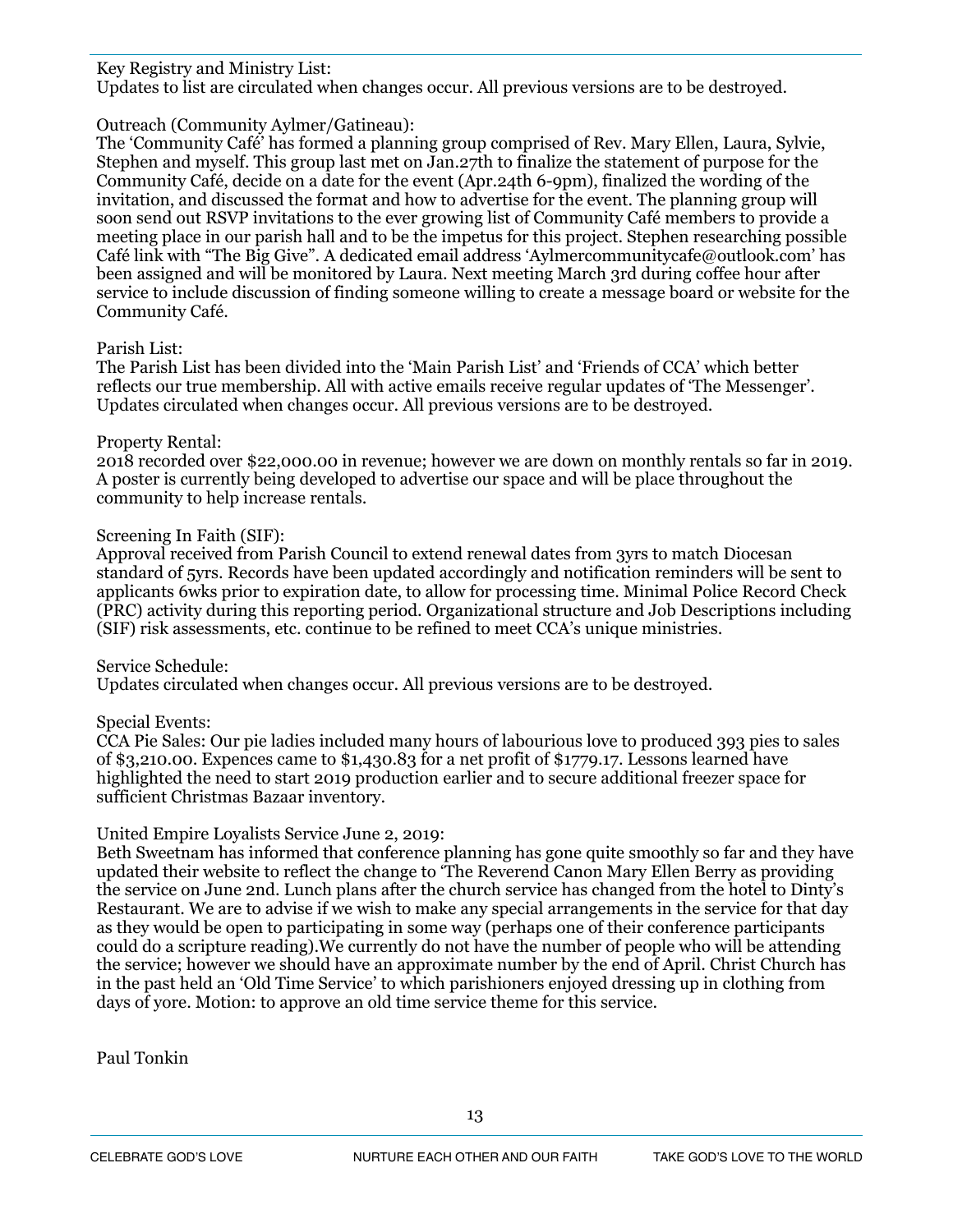#### Key Registry and Ministry List:

Updates to list are circulated when changes occur. All previous versions are to be destroyed.

#### Outreach (Community Aylmer/Gatineau):

The 'Community Café' has formed a planning group comprised of Rev. Mary Ellen, Laura, Sylvie, Stephen and myself. This group last met on Jan.27th to finalize the statement of purpose for the Community Café, decide on a date for the event (Apr.24th 6-9pm), finalized the wording of the invitation, and discussed the format and how to advertise for the event. The planning group will soon send out RSVP invitations to the ever growing list of Community Café members to provide a meeting place in our parish hall and to be the impetus for this project. Stephen researching possible Café link with "The Big Give". A dedicated email address 'Aylmercommunitycafe@outlook.com' has been assigned and will be monitored by Laura. Next meeting March 3rd during coffee hour after service to include discussion of finding someone willing to create a message board or website for the Community Café.

#### Parish List:

The Parish List has been divided into the 'Main Parish List' and 'Friends of CCA' which better reflects our true membership. All with active emails receive regular updates of 'The Messenger'. Updates circulated when changes occur. All previous versions are to be destroyed.

#### Property Rental:

2018 recorded over \$22,000.00 in revenue; however we are down on monthly rentals so far in 2019. A poster is currently being developed to advertise our space and will be place throughout the community to help increase rentals.

#### Screening In Faith (SIF):

Approval received from Parish Council to extend renewal dates from 3yrs to match Diocesan standard of 5yrs. Records have been updated accordingly and notification reminders will be sent to applicants 6wks prior to expiration date, to allow for processing time. Minimal Police Record Check (PRC) activity during this reporting period. Organizational structure and Job Descriptions including (SIF) risk assessments, etc. continue to be refined to meet CCA's unique ministries.

#### Service Schedule:

Updates circulated when changes occur. All previous versions are to be destroyed.

#### Special Events:

CCA Pie Sales: Our pie ladies included many hours of labourious love to produced 393 pies to sales of \$3,210.00. Expences came to \$1,430.83 for a net profit of \$1779.17. Lessons learned have highlighted the need to start 2019 production earlier and to secure additional freezer space for sufficient Christmas Bazaar inventory.

#### United Empire Loyalists Service June 2, 2019:

Beth Sweetnam has informed that conference planning has gone quite smoothly so far and they have updated their website to reflect the change to 'The Reverend Canon Mary Ellen Berry as providing the service on June 2nd. Lunch plans after the church service has changed from the hotel to Dinty's Restaurant. We are to advise if we wish to make any special arrangements in the service for that day as they would be open to participating in some way (perhaps one of their conference participants could do a scripture reading).We currently do not have the number of people who will be attending the service; however we should have an approximate number by the end of April. Christ Church has in the past held an 'Old Time Service' to which parishioners enjoyed dressing up in clothing from days of yore. Motion: to approve an old time service theme for this service.

Paul Tonkin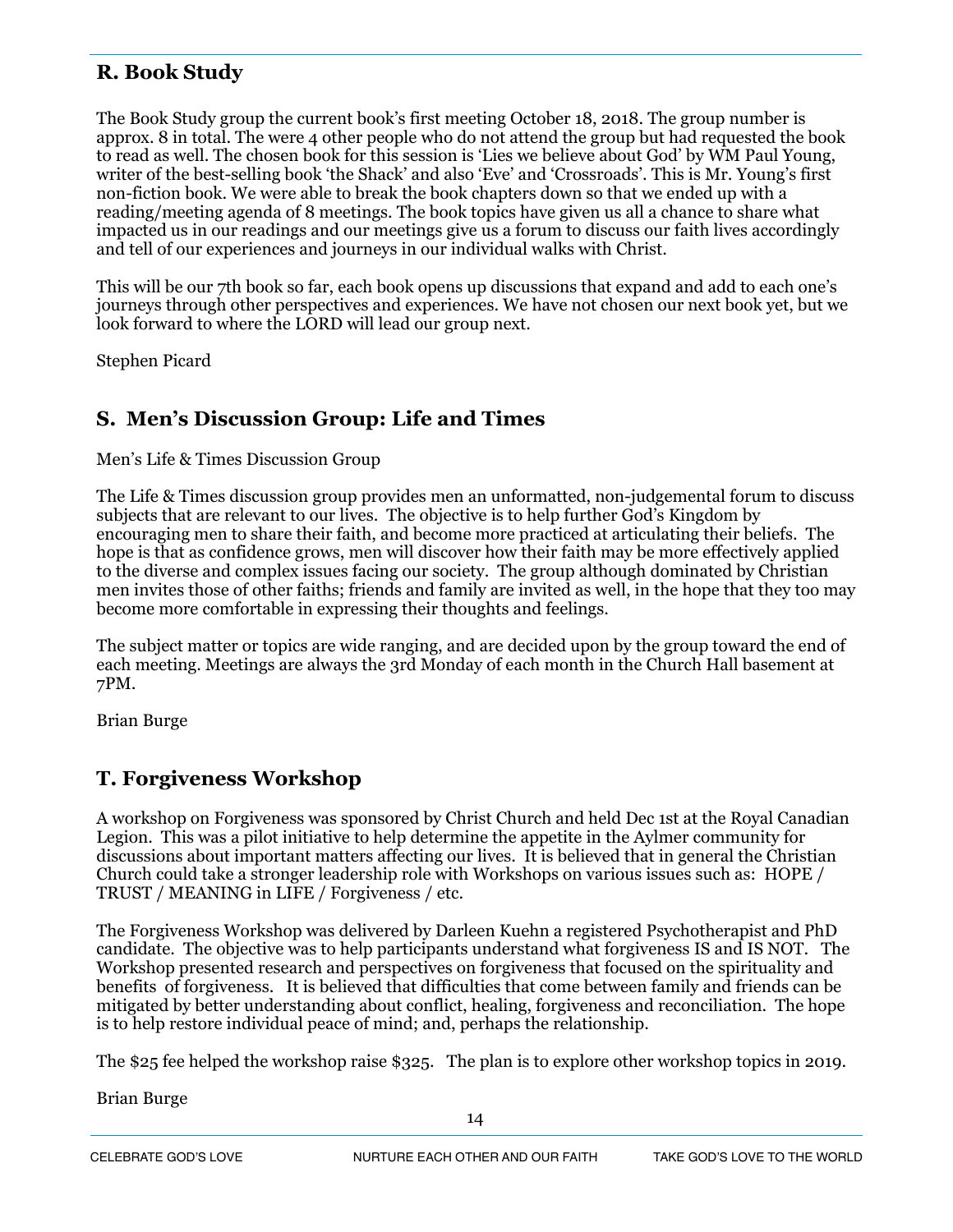## **R. Book Study**

The Book Study group the current book's first meeting October 18, 2018. The group number is approx. 8 in total. The were 4 other people who do not attend the group but had requested the book to read as well. The chosen book for this session is 'Lies we believe about God' by WM Paul Young, writer of the best-selling book 'the Shack' and also 'Eve' and 'Crossroads'. This is Mr. Young's first non-fiction book. We were able to break the book chapters down so that we ended up with a reading/meeting agenda of 8 meetings. The book topics have given us all a chance to share what impacted us in our readings and our meetings give us a forum to discuss our faith lives accordingly and tell of our experiences and journeys in our individual walks with Christ.

This will be our 7th book so far, each book opens up discussions that expand and add to each one's journeys through other perspectives and experiences. We have not chosen our next book yet, but we look forward to where the LORD will lead our group next.

Stephen Picard

## **S. Men's Discussion Group: Life and Times**

Men's Life & Times Discussion Group

The Life & Times discussion group provides men an unformatted, non-judgemental forum to discuss subjects that are relevant to our lives. The objective is to help further God's Kingdom by encouraging men to share their faith, and become more practiced at articulating their beliefs. The hope is that as confidence grows, men will discover how their faith may be more effectively applied to the diverse and complex issues facing our society. The group although dominated by Christian men invites those of other faiths; friends and family are invited as well, in the hope that they too may become more comfortable in expressing their thoughts and feelings.

The subject matter or topics are wide ranging, and are decided upon by the group toward the end of each meeting. Meetings are always the 3rd Monday of each month in the Church Hall basement at 7PM.

Brian Burge

## **T. Forgiveness Workshop**

A workshop on Forgiveness was sponsored by Christ Church and held Dec 1st at the Royal Canadian Legion. This was a pilot initiative to help determine the appetite in the Aylmer community for discussions about important matters affecting our lives. It is believed that in general the Christian Church could take a stronger leadership role with Workshops on various issues such as: HOPE / TRUST / MEANING in LIFE / Forgiveness / etc.

The Forgiveness Workshop was delivered by Darleen Kuehn a registered Psychotherapist and PhD candidate. The objective was to help participants understand what forgiveness IS and IS NOT. The Workshop presented research and perspectives on forgiveness that focused on the spirituality and benefits of forgiveness. It is believed that difficulties that come between family and friends can be mitigated by better understanding about conflict, healing, forgiveness and reconciliation. The hope is to help restore individual peace of mind; and, perhaps the relationship.

The \$25 fee helped the workshop raise \$325. The plan is to explore other workshop topics in 2019.

Brian Burge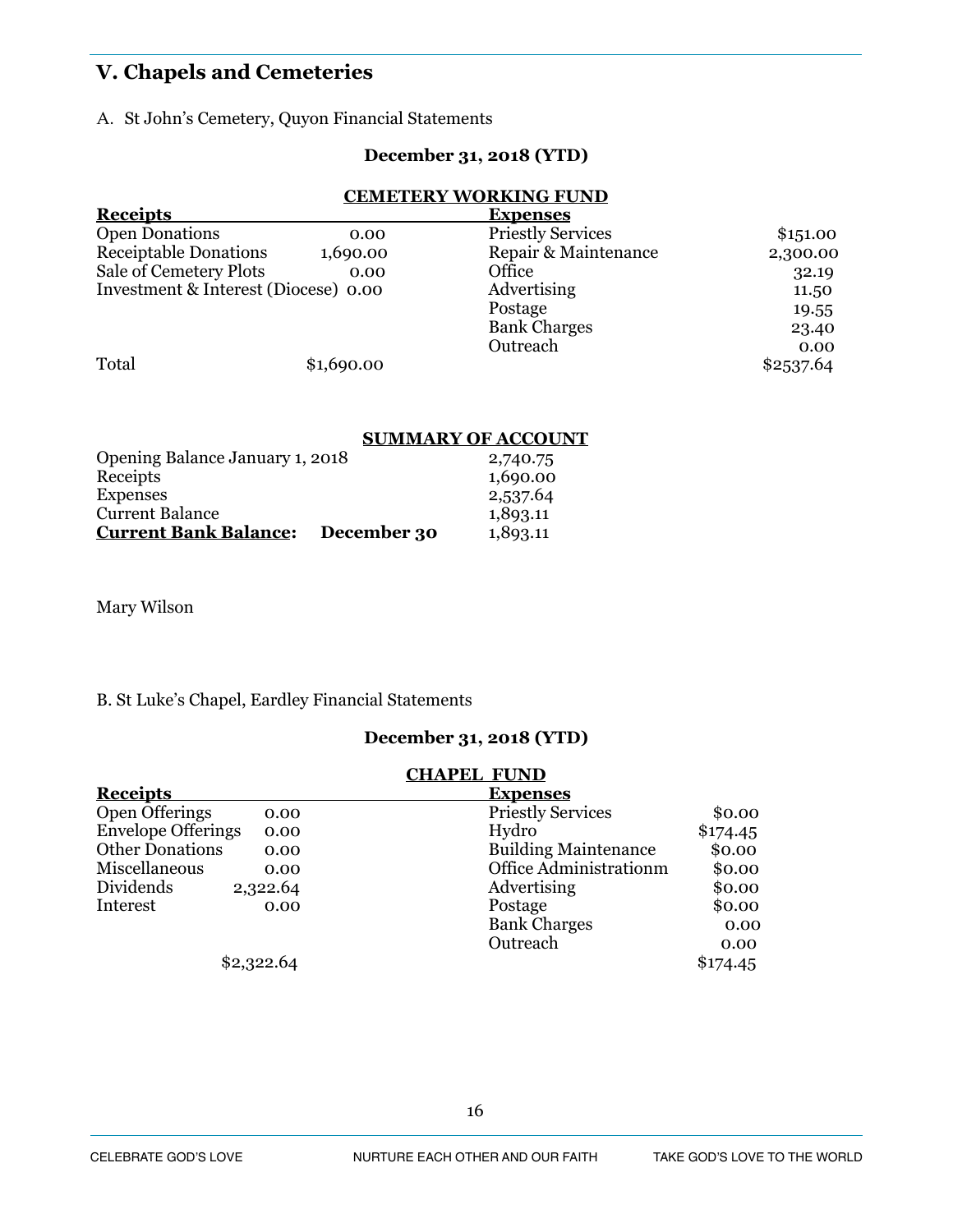## **V. Chapels and Cemeteries**

A. St John's Cemetery, Quyon Financial Statements

#### **December 31, 2018 (YTD)**

#### **CEMETERY WORKING FUND**

| <b>Receipts</b>                      |            | <b>Expenses</b>          |           |
|--------------------------------------|------------|--------------------------|-----------|
| <b>Open Donations</b>                | 0.00       | <b>Priestly Services</b> | \$1,51.00 |
| <b>Receiptable Donations</b>         | 1,690.00   | Repair & Maintenance     | 2,300.00  |
| Sale of Cemetery Plots               | 0.00       | Office                   | 32.19     |
| Investment & Interest (Diocese) 0.00 |            | Advertising              | 11.50     |
|                                      |            | Postage                  | 19.55     |
|                                      |            | <b>Bank Charges</b>      | 23.40     |
|                                      |            | Outreach                 | 0.00      |
| Total                                | \$1,690.00 |                          | \$2537.64 |

#### **SUMMARY OF ACCOUNT**

| Opening Balance January 1, 2018 |             | 2,740.75 |
|---------------------------------|-------------|----------|
| Receipts                        |             | 1,690.00 |
| <b>Expenses</b>                 |             | 2,537.64 |
| <b>Current Balance</b>          |             | 1,893.11 |
| <b>Current Bank Balance:</b>    | December 30 | 1,893.11 |

Mary Wilson

#### B. St Luke's Chapel, Eardley Financial Statements

#### **December 31, 2018 (YTD)**

#### **CHAPEL FUND Receipts** Expenses<br>
Open Offerings 0.00 Priestly Ser O.00 Priestly Services \$0.00<br>
O.00 Hydro \$174.45 Envelope Offerings 0.00<br>Other Donations 0.00 Other Donations 0.00 building Maintenance \$0.00<br>Miscellaneous 0.00 0ffice Administration \$0.00 Miscellaneous 0.00 Office Administrationm \$0.00 Dividends 2.322.64 Advertising 30.00 Dividends 2,322.64 Advertising \$0.00<br>Interest 0.00 Postage \$0.00 Interest 0.00 0.00 Postage \$0.00 Bank Charges 0.00 Outreach 0.00  $$2,322.64$   $$174.45$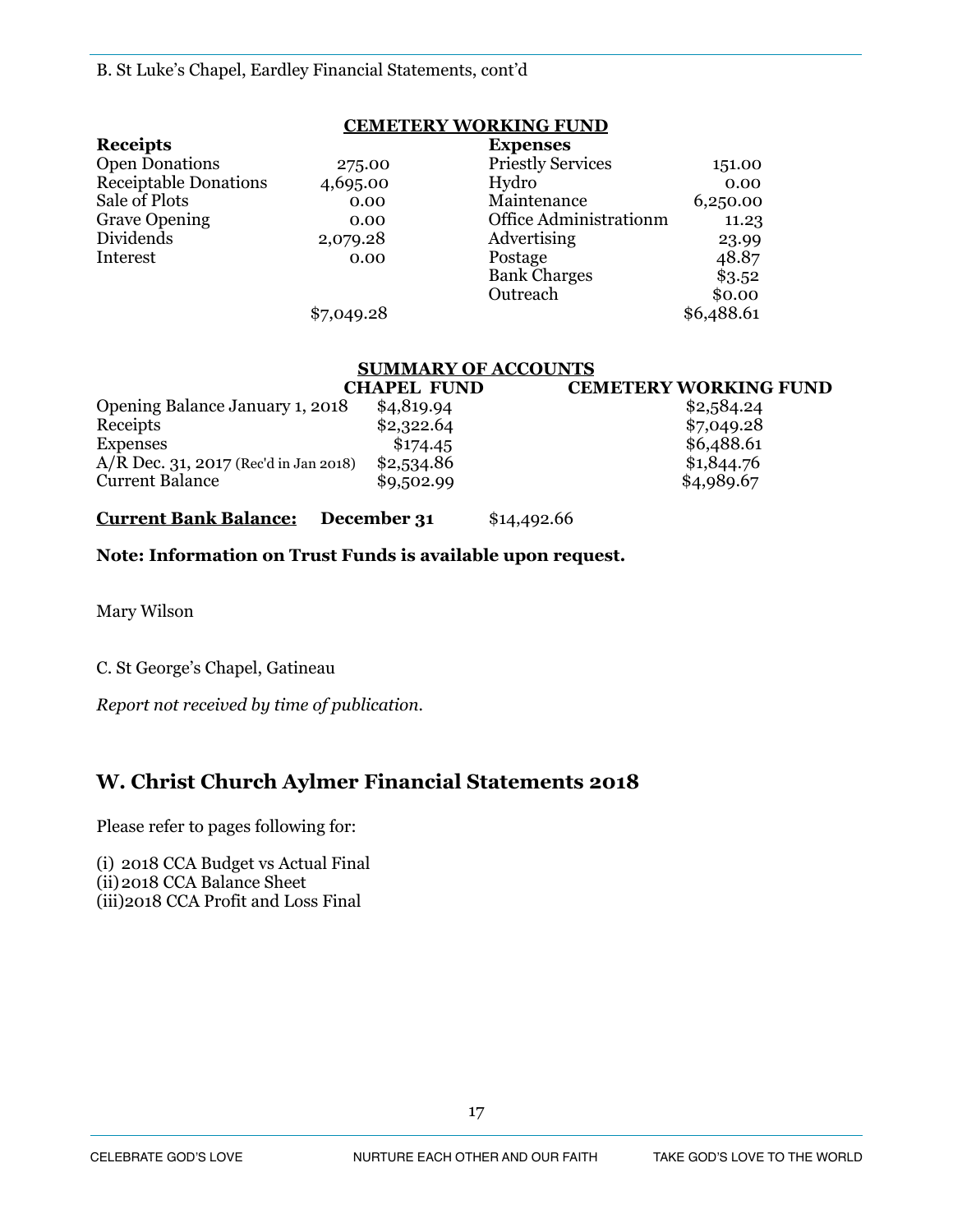#### **CEMETERY WORKING FUND**

| <b>Receipts</b>              |            | <b>Expenses</b>          |            |
|------------------------------|------------|--------------------------|------------|
| <b>Open Donations</b>        | 275.00     | <b>Priestly Services</b> | 151.00     |
| <b>Receiptable Donations</b> | 4,695.00   | Hydro                    | 0.00       |
| Sale of Plots                | 0.00       | Maintenance              | 6,250.00   |
| <b>Grave Opening</b>         | 0.00       | Office Administrationm   | 11.23      |
| Dividends                    | 2,079.28   | Advertising              | 23.99      |
| Interest                     | 0.00       | Postage                  | 48.87      |
|                              |            | <b>Bank Charges</b>      | \$3.52     |
|                              |            | Outreach                 | \$0.00     |
|                              | \$7,049.28 |                          | \$6,488.61 |

#### **SUMMARY OF ACCOUNTS**

|                                       | CHAPEL FUND | <b>CEMETERY WORKING FUND</b> |
|---------------------------------------|-------------|------------------------------|
| Opening Balance January 1, 2018       | \$4,819.94  | \$2,584.24                   |
| Receipts                              | \$2,322.64  | \$7,049.28                   |
| <b>Expenses</b>                       | \$174.45    | \$6,488.61                   |
| A/R Dec. 31, 2017 (Rec'd in Jan 2018) | \$2,534.86  | \$1,844.76                   |
| <b>Current Balance</b>                | \$9,502.99  | \$4,989.67                   |

#### **Current Bank Balance: December 31** \$14,492.66

#### **Note: Information on Trust Funds is available upon request.**

Mary Wilson

C. St George's Chapel, Gatineau

*Report not received by time of publication.* 

## **W. Christ Church Aylmer Financial Statements 2018**

Please refer to pages following for:

(i) 2018 CCA Budget vs Actual Final (ii)2018 CCA Balance Sheet (iii)2018 CCA Profit and Loss Final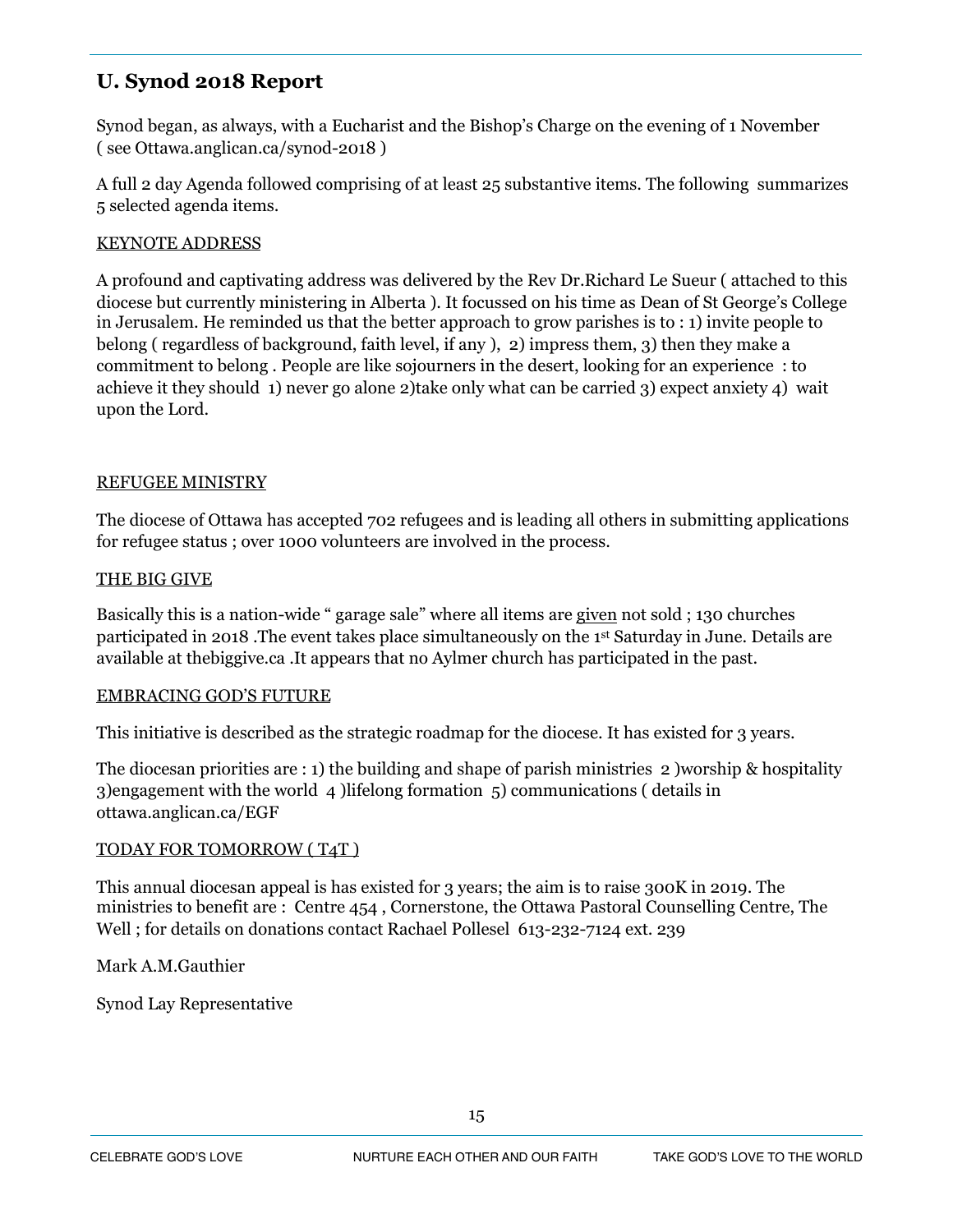## **U. Synod 2018 Report**

Synod began, as always, with a Eucharist and the Bishop's Charge on the evening of 1 November ( see Ottawa.anglican.ca/synod-2018 )

A full 2 day Agenda followed comprising of at least 25 substantive items. The following summarizes 5 selected agenda items.

#### KEYNOTE ADDRESS

A profound and captivating address was delivered by the Rev Dr.Richard Le Sueur ( attached to this diocese but currently ministering in Alberta ). It focussed on his time as Dean of St George's College in Jerusalem. He reminded us that the better approach to grow parishes is to : 1) invite people to belong ( regardless of background, faith level, if any ), 2) impress them, 3) then they make a commitment to belong . People are like sojourners in the desert, looking for an experience : to achieve it they should 1) never go alone 2)take only what can be carried 3) expect anxiety 4) wait upon the Lord.

#### REFUGEE MINISTRY

The diocese of Ottawa has accepted 702 refugees and is leading all others in submitting applications for refugee status ; over 1000 volunteers are involved in the process.

#### THE BIG GIVE

Basically this is a nation-wide " garage sale" where all items are given not sold ; 130 churches participated in 2018 .The event takes place simultaneously on the 1st Saturday in June. Details are available at thebiggive.ca .It appears that no Aylmer church has participated in the past.

#### EMBRACING GOD'S FUTURE

This initiative is described as the strategic roadmap for the diocese. It has existed for 3 years.

The diocesan priorities are : 1) the building and shape of parish ministries 2 )worship & hospitality 3)engagement with the world 4 )lifelong formation 5) communications ( details in ottawa.anglican.ca/EGF

#### TODAY FOR TOMORROW ( T4T )

This annual diocesan appeal is has existed for 3 years; the aim is to raise 300K in 2019. The ministries to benefit are : Centre 454 , Cornerstone, the Ottawa Pastoral Counselling Centre, The Well ; for details on donations contact Rachael Pollesel 613-232-7124 ext. 239

Mark A.M.Gauthier

Synod Lay Representative